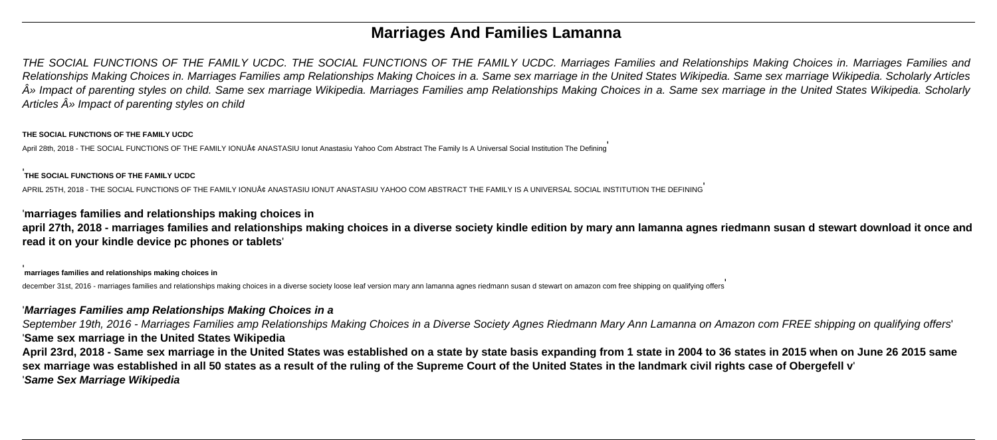# **Marriages And Families Lamanna**

THE SOCIAL FUNCTIONS OF THE FAMILY UCDC. THE SOCIAL FUNCTIONS OF THE FAMILY UCDC. Marriages Families and Relationships Making Choices in. Marriages Families and Relationships Making Choices in. Marriages Families amp Relationships Making Choices in a. Same sex marriage in the United States Wikipedia. Same sex marriage Wikipedia. Scholarly Articles  $\hat{A}$ » Impact of parenting styles on child. Same sex marriage Wikipedia. Marriages Families amp Relationships Making Choices in a. Same sex marriage in the United States Wikipedia. Scholarly Articles  $\hat{A}$ » Impact of parenting styles on child

### **THE SOCIAL FUNCTIONS OF THE FAMILY UCDC**

April 28th, 2018 - THE SOCIAL FUNCTIONS OF THE FAMILY IONUÅ¢ ANASTASIU Ionut Anastasiu Yahoo Com Abstract The Family Is A Universal Social Institution The Defining'

### '**THE SOCIAL FUNCTIONS OF THE FAMILY UCDC**

September 19th, 2016 - Marriages Families amp Relationships Making Choices in a Diverse Society Agnes Riedmann Mary Ann Lamanna on Amazon com FREE shipping on qualifying offers' '**Same sex marriage in the United States Wikipedia**

APRIL 25TH, 2018 - THE SOCIAL FUNCTIONS OF THE FAMILY IONUÅ¢ ANASTASIU IONUT ANASTASIU YAHOO COM ABSTRACT THE FAMILY IS A UNIVERSAL SOCIAL INSTITUTION THE DEFINING'

## '**marriages families and relationships making choices in**

**april 27th, 2018 - marriages families and relationships making choices in a diverse society kindle edition by mary ann lamanna agnes riedmann susan d stewart download it once and read it on your kindle device pc phones or tablets**'

### '**marriages families and relationships making choices in**

december 31st, 2016 - marriages families and relationships making choices in a diverse society loose leaf version mary ann lamanna agnes riedmann susan d stewart on amazon com free shipping on qualifying offers

## '**Marriages Families amp Relationships Making Choices in a**

**April 23rd, 2018 - Same sex marriage in the United States was established on a state by state basis expanding from 1 state in 2004 to 36 states in 2015 when on June 26 2015 same sex marriage was established in all 50 states as a result of the ruling of the Supreme Court of the United States in the landmark civil rights case of Obergefell v**' '**Same Sex Marriage Wikipedia**